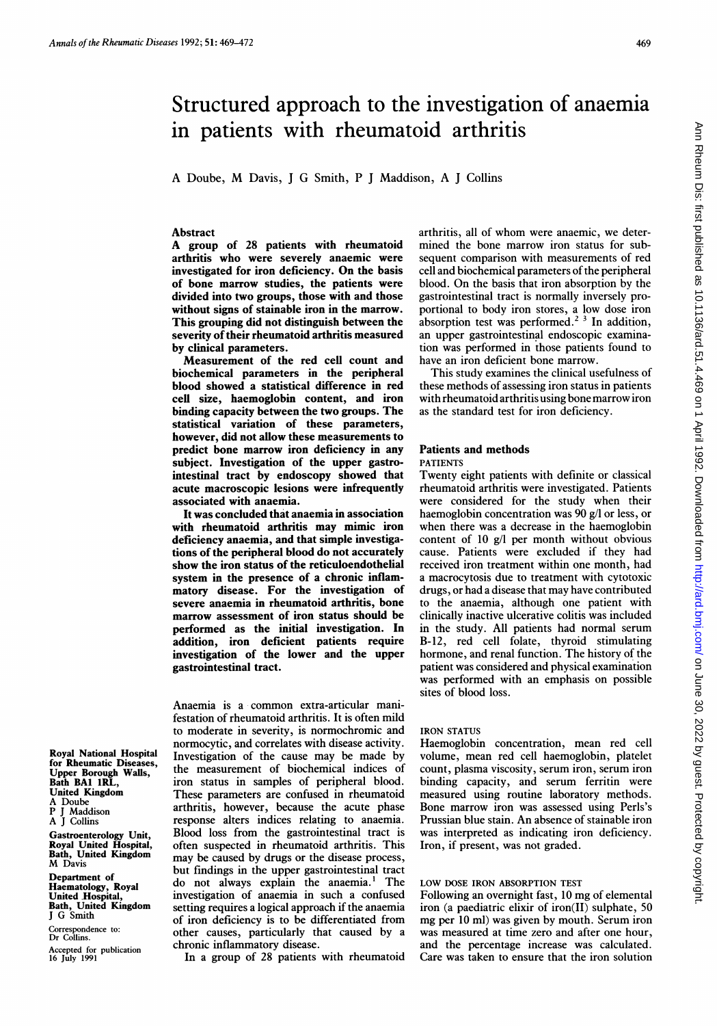# Ann Rheum Dis: first published as 10.1136/ard.51.4.469 on 1 April 1992. Downloaded from http://ard.bmj.com/ on June 30, 2022 by guest. Protected by copyright Ann Rheum Dis: first published as 10.1136/ard.51.4.469 on 1 April 1992. Downloaded from Jom Dim,com/ on June 30, 2022 by guest. Protected by copyright.

# Structured approach to the investigation of anaemia in patients with rheumatoid arthritis

A Doube, M Davis, <sup>J</sup> G Smith, <sup>P</sup> <sup>J</sup> Maddison, A <sup>J</sup> Collins

### Abstract

A group of <sup>28</sup> patients with rheumatoid arthritis who were severely anaemic were investigated for iron deficiency. On the basis of bone marrow studies, the patients were divided into two groups, those with and those without signs of stainable iron in the marrow. This grouping did not distinguish between the severity of their rheumatoid arthritis measured by clinical parameters.

Measurement of the red cell count and biochemical parameters in the peripheral blood showed a statistical difference in red celi size, haemoglobin content, and iron binding capacity between the two groups. The statistical variation of these parameters, however, did not allow these measurements to predict bone marrow iron deficiency in any subiect. Investigation of the upper gastrointestinal tract by endoscopy showed that acute macroscopic lesions were infrequently associated with anaemia.

It was concluded that anaemia in association with rheumatoid arthritis may mimic iron deficiency anaemia, and that simple investigations of the peripheral blood do not accurately show the iron status of the reticuloendothelial system in the presence of a chronic inflammatory disease. For the investigation of severe anaemia in rheumatoid arthritis, bone marrow assessment of iron status should be performed as the initial investigation. In addition, iron deficient patients require investigation of the lower and the upper gastrointestinal tract.

Anaemia is <sup>a</sup> common extra-articular manifestation of rheumatoid arthritis. It is often mild to moderate in severity, is normochromic and normocytic, and correlates with disease activity. Investigation of the cause may be made by the measurement of biochemical indices of iron status in samples of peripheral blood. These parameters are confused in rheumatoid arthritis, however, because the acute phase response alters indices relating to anaemia. Blood loss from the gastrointestinal tract is often suspected in rheumatoid arthritis. This may be caused by drugs or the disease process, but findings in the upper gastrointestinal tract do not always explain the anaemia.<sup>1</sup> The investigation of anaemia in such a confused setting requires a logical approach if the anaemia of iron deficiency is to be differentiated from other causes, particularly that caused by a chronic inflammatory disease.

In a group of 28 patients with rheumatoid

arthritis, all of whom were anaemic, we determined the bone marrow iron status for subsequent comparison with measurements of red cell and biochemical parameters of the peripheral blood. On the basis that iron absorption by the gastrointestinal tract is normally inversely proportional to body iron stores, a low dose iron absorption test was performed.<sup>2</sup>  $\frac{3}{2}$  In addition, an upper gastrointestinal endoscopic examination was performed in those patients found to have an iron deficient bone marrow.

This study examines the clinical usefulness of these methods of assessing iron status in patients with rheumatoid arthritis using bone marrow iron as the standard test for iron deficiency.

### Patients and methods PATIENTS

Twenty eight patients with definite or classical rheumatoid arthritis were investigated. Patients were considered for the study when their haemoglobin concentration was 90 g/l or less, or when there was a decrease in the haemoglobin content of 10 g/l per month without obvious cause. Patients were excluded if they had received iron treatment within one month, had a macrocytosis due to treatment with cytotoxic drugs, or had a disease that may have contributed to the anaemia, although one patient with clinically inactive ulcerative colitis was included in the study. All patients had normal serum B-12, red cell folate, thyroid stimulating hormone, and renal function. The history of the patient was considered and physical examination was performed with an emphasis on possible sites of blood loss.

### IRON STATUS

Haemoglobin concentration, mean red cell volume, mean red cell haemoglobin, platelet count, plasma viscosity, serum iron, serum iron binding capacity, and serum ferritin were measured using routine laboratory methods. Bone marrow iron was assessed using Perls's Prussian blue stain. An absence of stainable iron was interpreted as indicating iron deficiency. Iron, if present, was not graded.

### LOW DOSE IRON ABSORPTION TEST

Following an overnight fast, <sup>10</sup> mg of elemental iron (a paediatric elixir of iron(II) sulphate, 50 mg per <sup>10</sup> ml) was given by mouth. Serum iron was measured at time zero and after one hour, and the percentage increase was calculated. Care was taken to ensure that the iron solution

Royal National Hospital for Rheumatic Diseases,<br>Upper Borough Walls, Upper Borough Bath BAl 1RL, United Kingdom A Doube P <sup>J</sup> Maddison A <sup>J</sup> Collins

Gastroenterology Unit, Royal United Hospital, Bath, United Kingdom M Davis

Department of Haematology, Royal United .Hospital, Bath, United Kingdom <sup>J</sup> G Smith

Correspondence to: Dr Collins.

Accepted for publication 16 July 1991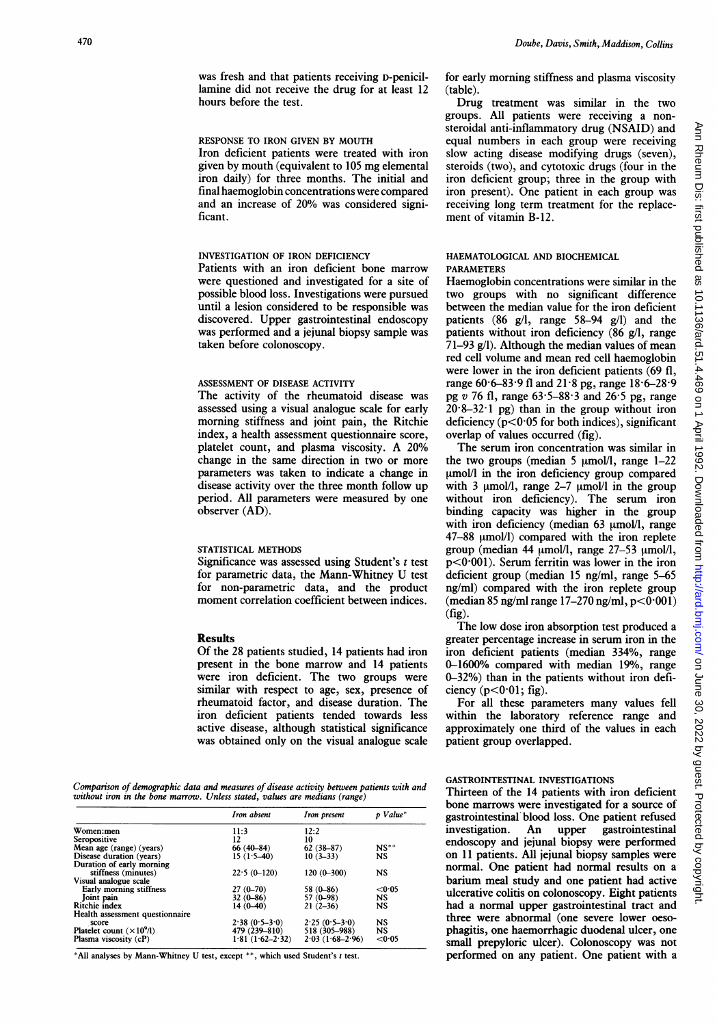was fresh and that patients receiving D-penicillamine did not receive the drug for at least 12 hours before the test.

### RESPONSE TO IRON GIVEN BY MOUTH

Iron deficient patients were treated with iron given by mouth (equivalent to <sup>105</sup> mg elemental iron daily) for three months. The initial and final haemoglobin concentrations were compared and an increase of 20% was considered significant.

### INVESTIGATION OF IRON DEFICIENCY

Patients with an iron deficient bone marrow were questioned and investigated for a site of possible blood loss. Investigations were pursued until a lesion considered to be responsible was discovered. Upper gastrointestinal endoscopy was performed and a jejunal biopsy sample was taken before colonoscopy.

### ASSESSMENT OF DISEASE ACTIVITY

The activity of the rheumatoid disease was assessed using a visual analogue scale for early morning stiffness and joint pain, the Ritchie index, a health assessment questionnaire score, platelet count, and plasma viscosity. A 20% change in the same direction in two or more parameters was taken to indicate a change in disease activity over the three month follow up period. All parameters were measured by one observer (AD).

### STATISTICAL METHODS

Significance was assessed using Student's <sup>t</sup> test for parametric data, the Mann-Whitney U test for non-parametric data, and the product moment correlation coefficient between indices.

## Results

Of the 28 patients studied, 14 patients had iron present in the bone marrow and 14 patients were iron deficient. The two groups were similar with respect to age, sex, presence of rheumatoid factor, and disease duration. The iron deficient patients tended towards less active disease, although statistical significance was obtained only on the visual analogue scale

Comparison of demographic data and measures of disease activity between patients with and without iron in the bone marrow. Unless stated, values are medians (range)

|                                  | Iron absent         | Iron present        | $\n  b Value*$ |
|----------------------------------|---------------------|---------------------|----------------|
| Women:men                        | 11:3                | 12:2                |                |
| Seropositive                     | 12                  | 10                  |                |
| Mean age (range) (years)         | $66(40-84)$         | $62(38-87)$         | $NS**$         |
| Disease duration (years)         | $15(1.5-40)$        | $10(3-33)$          | <b>NS</b>      |
| Duration of early morning        |                     |                     |                |
| stiffness (minutes)              | $22.5(0-120)$       | $120(0-300)$        | NS             |
| Visual analogue scale            |                     |                     |                |
| Early morning stiffness          | $27(0 - 70)$        | $58(0-86)$          | < 0.05         |
| Joint pain                       | $32(0-86)$          | 57 (0-98)           | <b>NS</b>      |
| Ritchie index                    | $14(0-40)$          | $21(2-36)$          | NS             |
| Health assessment questionnaire  |                     |                     |                |
| score                            | $2.38(0.5 - 3.0)$   | $2.25(0.5 - 3.0)$   | NS             |
| Platelet count $(\times 10^9/l)$ | 479 (239-810)       | 518 (305-988)       | <b>NS</b>      |
| Plasma viscosity (cP)            | $1.81(1.62 - 2.32)$ | $2.03(1.68 - 2.96)$ | < 0.05         |
|                                  |                     |                     |                |

\*All analyses by Mann-Whitney U test, except \*\*, which used Student's t test.

Drug treatment was similar in the two groups. All patients were receiving a nonsteroidal anti-inflammatory drug (NSAID) and equal numbers in each group were receiving slow acting disease modifying drugs (seven), steroids (two), and cytotoxic drugs (four in the iron deficient group; three in the group with iron present). One patient in each group was receiving long term treatment for the replacement of vitamin B-12.

### HAEMATOLOGICAL AND BIOCHEMICAL PARAMETERS

Haemoglobin concentrations were similar in the two groups with no significant difference between the median value for the iron deficient patients (86 g/l, range 58-94 g/l) and the patients without iron deficiency (86 g/l, range 71-93 g/l). Although the median values of mean red cell volume and mean red cell haemoglobin were lower in the iron deficient patients (69 fl, range  $60.6 - 83.9$  fl and  $21.8$  pg, range  $18.6 - 28.9$ pg  $v$  76 fl, range  $63.5-88.3$  and  $26.5$  pg, range  $20.8 - 32.1$  pg) than in the group without iron deficiency  $(p<0.05$  for both indices), significant overlap of values occurred (fig).

The serum iron concentration was similar in the two groups (median  $5 \mu$ mol/l, range 1-22 umol/l in the iron deficiency group compared with 3  $\mu$ mol/l, range 2-7  $\mu$ mol/l in the group without iron deficiency). The serum iron binding capacity was higher in the group with iron deficiency (median  $63 \mu$ mol/l, range  $47-88$   $\mu$ mol/l) compared with the iron replete group (median 44  $\mu$ mol/l, range 27-53  $\mu$ mol/l,  $p<0.001$ ). Serum ferritin was lower in the iron deficient group (median 15 ng/ml, range 5-65 ng/ml) compared with the iron replete group (median 85 ng/ml range  $17-270$  ng/ml,  $p < 0.001$ ) (fig).

The low dose iron absorption test produced a greater percentage increase in serum iron in the iron deficient patients (median 334%, range 0-1600% compared with median 19%, range 0-32%) than in the patients without iron deficiency  $(p<0.01;$  fig).

For all these parameters many values fell within the laboratory reference range and approximately one third of the values in each patient group overlapped.

# GASTROINTESTINAL INVESTIGATIONS

Thirteen of the 14 patients with iron deficient bone marrows were investigated for a source of gastrointestinal blood loss. One patient refused An upper gastrointestinal endoscopy and jejunal biopsy were performed on <sup>11</sup> patients. All jejunal biopsy samples were normal. One patient had normal results on a barium meal study and one patient had active ulcerative colitis on colonoscopy. Eight patients had a normal upper gastrointestinal tract and three were abnormal (one severe lower oesophagitis, one haemorrhagic duodenal ulcer, one small prepyloric ulcer). Colonoscopy was not performed on any patient. One patient with a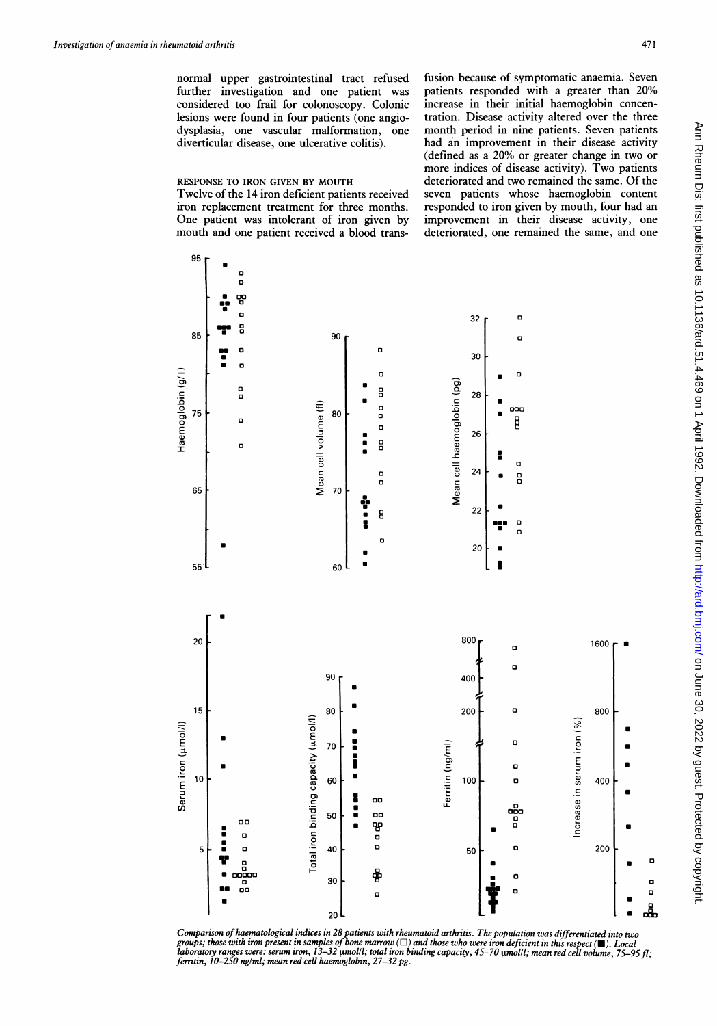normal upper gastrointestinal tract refused further investigation and one patient was considered too frail for colonoscopy. Colonic lesions were found in four patients (one angiodysplasia, one vascular malformation, one diverticular disease, one ulcerative colitis).

### RESPONSE TO IRON GIVEN BY MOUTH

Twelve of the 14 iron deficient patients received iron replacement treatment for three months. One patient was intolerant of iron given by mouth and one patient received a blood transfusion because of symptomatic anaemia. Seven patients responded with a greater than 20% increase in their initial haemoglobin concentration. Disease activity altered over the three month period in nine patients. Seven patients had an improvement in their disease activity (defined as a 20% or greater change in two or more indices of disease activity). Two patients deteriorated and two remained the same. Of the seven patients whose haemoglobin content responded to iron given by mouth, four had an improvement in their disease activity, one deteriorated, one remained the same, and one



Comparison of haematological indices in 28 patients with rheumatoid arthritis. The population was differentiated into two groups; those with iron present in samples of bone marrow  $(\square)$  and those who were iron deficient in this respect  $(\blacksquare)$ . Local laboratory ranges were: serum iron, 13–32 umol/l; total iron binding capacity, 45–70 umol/l; ferritin, 10-250 ng/ml; mean red cell haemoglobin, 27-32 pg.